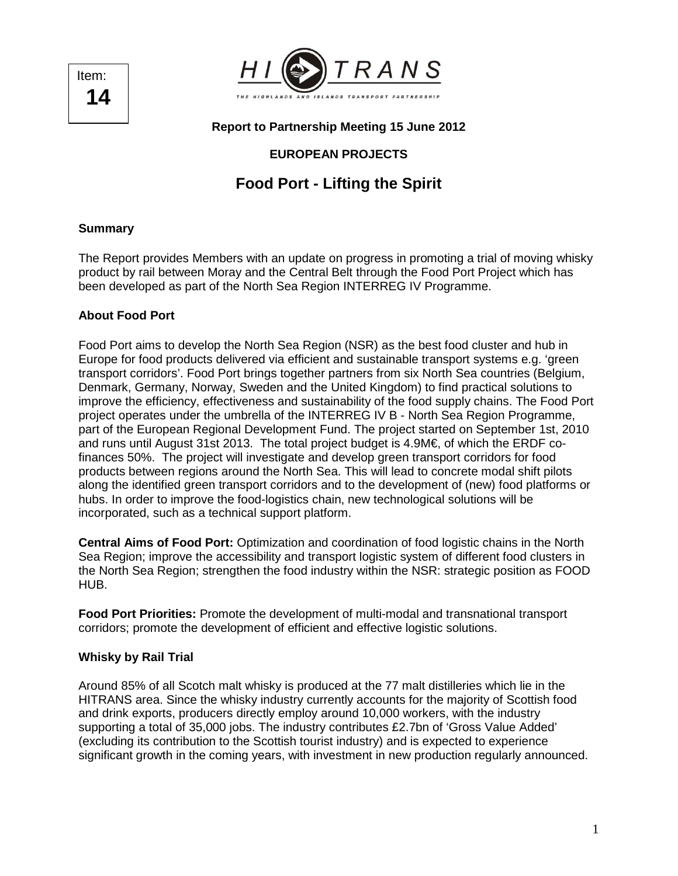Item: **14** 



## **Report to Partnership Meeting 15 June 2012**

# **EUROPEAN PROJECTS**

# **Food Port - Lifting the Spirit**

#### **Summary**

The Report provides Members with an update on progress in promoting a trial of moving whisky product by rail between Moray and the Central Belt through the Food Port Project which has been developed as part of the North Sea Region INTERREG IV Programme.

#### **About Food Port**

Food Port aims to develop the North Sea Region (NSR) as the best food cluster and hub in Europe for food products delivered via efficient and sustainable transport systems e.g. 'green transport corridors'. Food Port brings together partners from six North Sea countries (Belgium, Denmark, Germany, Norway, Sweden and the United Kingdom) to find practical solutions to improve the efficiency, effectiveness and sustainability of the food supply chains. The Food Port project operates under the umbrella of the INTERREG IV B - North Sea Region Programme, part of the European Regional Development Fund. The project started on September 1st, 2010 and runs until August 31st 2013. The total project budget is 4.9M€, of which the ERDF cofinances 50%. The project will investigate and develop green transport corridors for food products between regions around the North Sea. This will lead to concrete modal shift pilots along the identified green transport corridors and to the development of (new) food platforms or hubs. In order to improve the food-logistics chain, new technological solutions will be incorporated, such as a technical support platform.

**Central Aims of Food Port:** Optimization and coordination of food logistic chains in the North Sea Region; improve the accessibility and transport logistic system of different food clusters in the North Sea Region; strengthen the food industry within the NSR: strategic position as FOOD HUB.

**Food Port Priorities:** Promote the development of multi-modal and transnational transport corridors; promote the development of efficient and effective logistic solutions.

#### **Whisky by Rail Trial**

Around 85% of all Scotch malt whisky is produced at the 77 malt distilleries which lie in the HITRANS area. Since the whisky industry currently accounts for the majority of Scottish food and drink exports, producers directly employ around 10,000 workers, with the industry supporting a total of 35,000 jobs. The industry contributes £2.7bn of 'Gross Value Added' (excluding its contribution to the Scottish tourist industry) and is expected to experience significant growth in the coming years, with investment in new production regularly announced.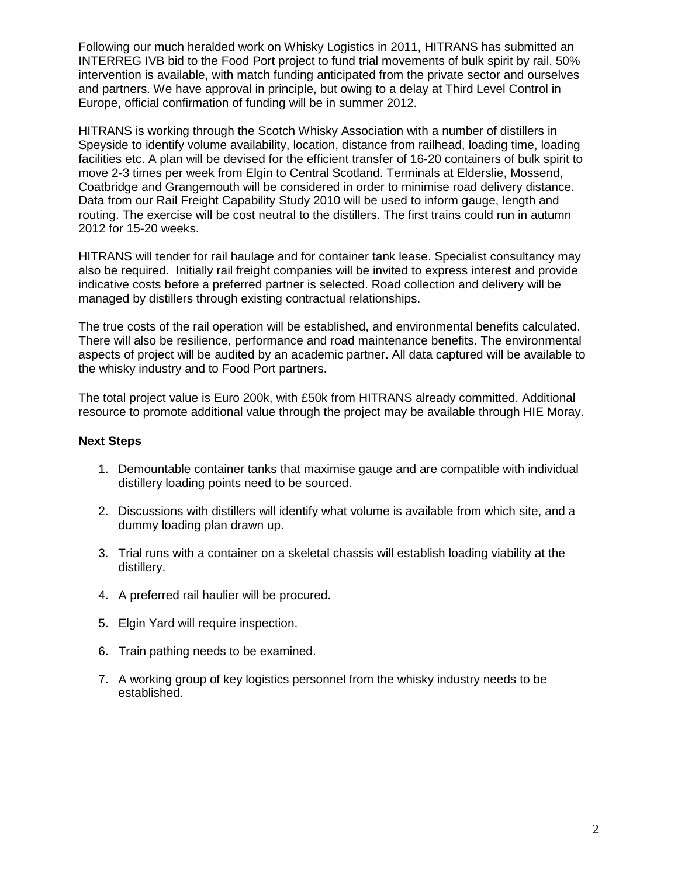Following our much heralded work on Whisky Logistics in 2011, HITRANS has submitted an INTERREG IVB bid to the Food Port project to fund trial movements of bulk spirit by rail. 50% intervention is available, with match funding anticipated from the private sector and ourselves and partners. We have approval in principle, but owing to a delay at Third Level Control in Europe, official confirmation of funding will be in summer 2012.

HITRANS is working through the Scotch Whisky Association with a number of distillers in Speyside to identify volume availability, location, distance from railhead, loading time, loading facilities etc. A plan will be devised for the efficient transfer of 16-20 containers of bulk spirit to move 2-3 times per week from Elgin to Central Scotland. Terminals at Elderslie, Mossend, Coatbridge and Grangemouth will be considered in order to minimise road delivery distance. Data from our Rail Freight Capability Study 2010 will be used to inform gauge, length and routing. The exercise will be cost neutral to the distillers. The first trains could run in autumn 2012 for 15-20 weeks.

HITRANS will tender for rail haulage and for container tank lease. Specialist consultancy may also be required. Initially rail freight companies will be invited to express interest and provide indicative costs before a preferred partner is selected. Road collection and delivery will be managed by distillers through existing contractual relationships.

The true costs of the rail operation will be established, and environmental benefits calculated. There will also be resilience, performance and road maintenance benefits. The environmental aspects of project will be audited by an academic partner. All data captured will be available to the whisky industry and to Food Port partners.

The total project value is Euro 200k, with £50k from HITRANS already committed. Additional resource to promote additional value through the project may be available through HIE Moray.

#### **Next Steps**

- 1. Demountable container tanks that maximise gauge and are compatible with individual distillery loading points need to be sourced.
- 2. Discussions with distillers will identify what volume is available from which site, and a dummy loading plan drawn up.
- 3. Trial runs with a container on a skeletal chassis will establish loading viability at the distillery.
- 4. A preferred rail haulier will be procured.
- 5. Elgin Yard will require inspection.
- 6. Train pathing needs to be examined.
- 7. A working group of key logistics personnel from the whisky industry needs to be established.